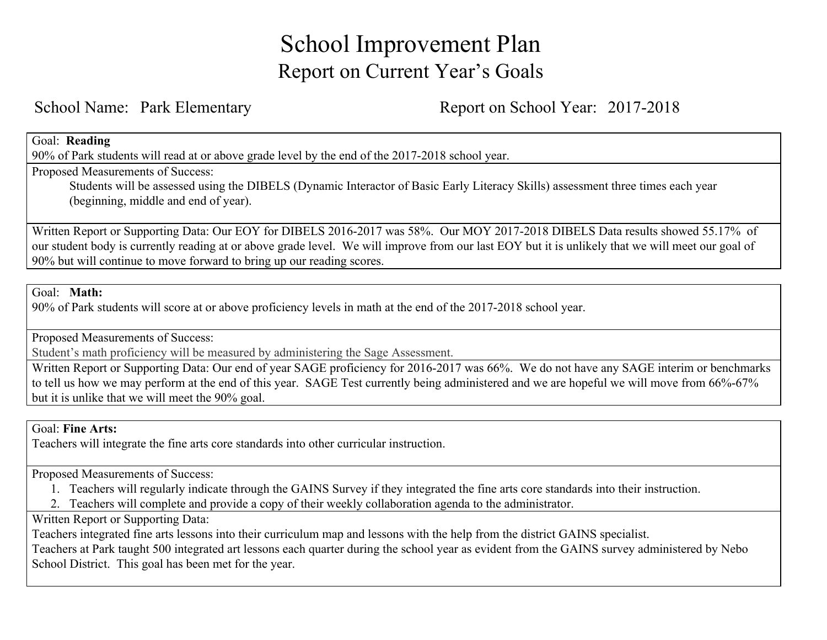# School Improvement Plan Report on Current Year's Goals

School Name: Park Elementary Report on School Year: 2017-2018

#### Goal: **Reading**

90% of Park students will read at or above grade level by the end of the 2017-2018 school year.

Proposed Measurements of Success:

Students will be assessed using the DIBELS (Dynamic Interactor of Basic Early Literacy Skills) assessment three times each year (beginning, middle and end of year).

Written Report or Supporting Data: Our EOY for DIBELS 2016-2017 was 58%. Our MOY 2017-2018 DIBELS Data results showed 55.17% of our student body is currently reading at or above grade level. We will improve from our last EOY but it is unlikely that we will meet our goal of 90% but will continue to move forward to bring up our reading scores.

#### Goal: **Math:**

90% of Park students will score at or above proficiency levels in math at the end of the 2017-2018 school year.

Proposed Measurements of Success:

Student's math proficiency will be measured by administering the Sage Assessment.

Written Report or Supporting Data: Our end of year SAGE proficiency for 2016-2017 was 66%. We do not have any SAGE interim or benchmarks to tell us how we may perform at the end of this year. SAGE Test currently being administered and we are hopeful we will move from 66%-67% but it is unlike that we will meet the 90% goal.

#### Goal: **Fine Arts:**

Teachers will integrate the fine arts core standards into other curricular instruction.

Proposed Measurements of Success:

- 1. Teachers will regularly indicate through the GAINS Survey if they integrated the fine arts core standards into their instruction.
- 2. Teachers will complete and provide a copy of their weekly collaboration agenda to the administrator.

## Written Report or Supporting Data:

Teachers integrated fine arts lessons into their curriculum map and lessons with the help from the district GAINS specialist.

Teachers at Park taught 500 integrated art lessons each quarter during the school year as evident from the GAINS survey administered by Nebo School District. This goal has been met for the year.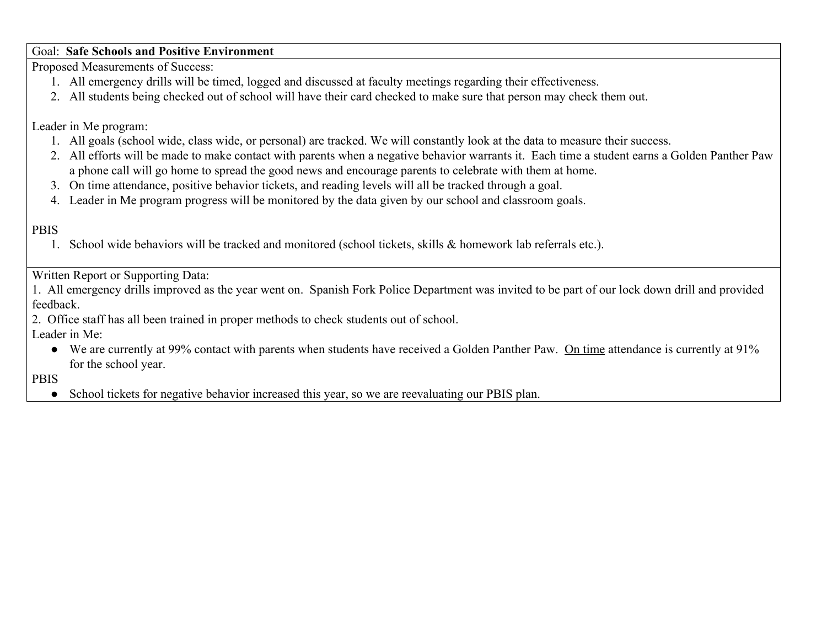## Goal: **Safe Schools and Positive Environment**

Proposed Measurements of Success:

- 1. All emergency drills will be timed, logged and discussed at faculty meetings regarding their effectiveness.
- 2. All students being checked out of school will have their card checked to make sure that person may check them out.

Leader in Me program:

- 1. All goals (school wide, class wide, or personal) are tracked. We will constantly look at the data to measure their success.
- 2. All efforts will be made to make contact with parents when a negative behavior warrants it. Each time a student earns a Golden Panther Paw a phone call will go home to spread the good news and encourage parents to celebrate with them at home.
- 3. On time attendance, positive behavior tickets, and reading levels will all be tracked through a goal.
- 4. Leader in Me program progress will be monitored by the data given by our school and classroom goals.

# PBIS

1. School wide behaviors will be tracked and monitored (school tickets, skills & homework lab referrals etc.).

Written Report or Supporting Data:

1. All emergency drills improved as the year went on. Spanish Fork Police Department was invited to be part of our lock down drill and provided feedback.

2. Office staff has all been trained in proper methods to check students out of school.

Leader in Me:

● We are currently at 99% contact with parents when students have received a Golden Panther Paw. On time attendance is currently at 91% for the school year.

PBIS

● School tickets for negative behavior increased this year, so we are reevaluating our PBIS plan.